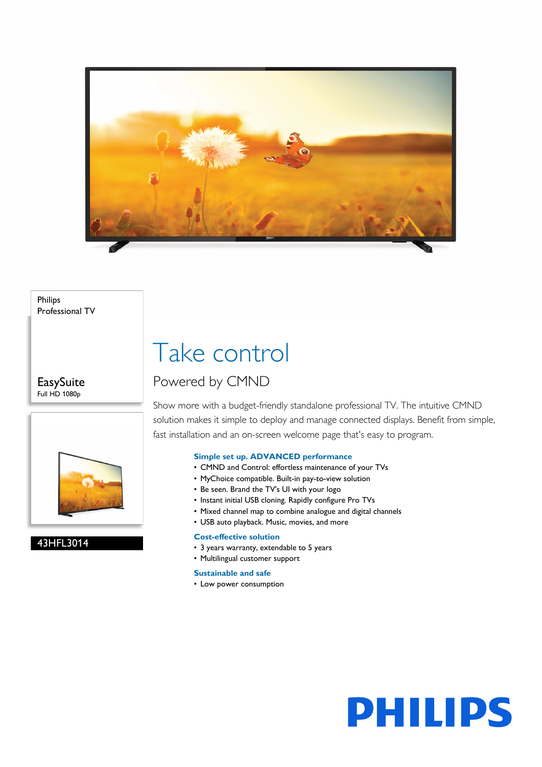

Philips Professional TV

**EasySuite** Full HD 1080p



#### 43HFL3014

# Take control

### Powered by CMND

Show more with a budget-friendly standalone professional TV. The intuitive CMND solution makes it simple to deploy and manage connected displays. Benefit from simple, fast installation and an on-screen welcome page that's easy to program.

#### **Simple set up. ADVANCED performance**

- CMND and Control: effortless maintenance of your TVs
- MyChoice compatible. Built-in pay-to-view solution
- Be seen. Brand the TV's UI with your logo
- Instant initial USB cloning. Rapidly configure Pro TVs
- Mixed channel map to combine analogue and digital channels
- USB auto playback. Music, movies, and more

#### **Cost-effective solution**

- 3 years warranty, extendable to 5 years
- Multilingual customer support

#### **Sustainable and safe**

• Low power consumption

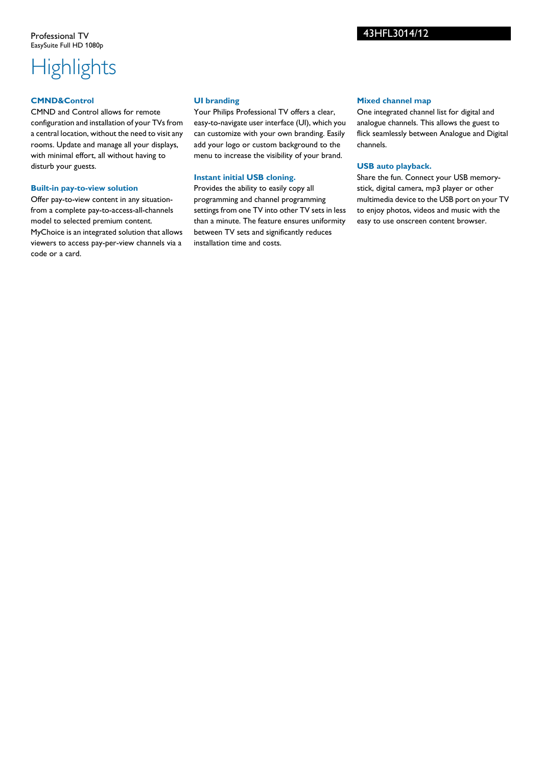## **Highlights**

#### **CMND&Control**

CMND and Control allows for remote configuration and installation of your TVs from a central location, without the need to visit any rooms. Update and manage all your displays, with minimal effort, all without having to disturb your guests.

#### **Built-in pay-to-view solution**

Offer pay-to-view content in any situationfrom a complete pay-to-access-all-channels model to selected premium content. MyChoice is an integrated solution that allows viewers to access pay-per-view channels via a code or a card.

#### **UI branding**

Your Philips Professional TV offers a clear, easy-to-navigate user interface (UI), which you can customize with your own branding. Easily add your logo or custom background to the menu to increase the visibility of your brand.

#### **Instant initial USB cloning.**

Provides the ability to easily copy all programming and channel programming settings from one TV into other TV sets in less than a minute. The feature ensures uniformity between TV sets and significantly reduces installation time and costs.

#### **Mixed channel map**

One integrated channel list for digital and analogue channels. This allows the guest to flick seamlessly between Analogue and Digital channels.

#### **USB auto playback.**

Share the fun. Connect your USB memorystick, digital camera, mp3 player or other multimedia device to the USB port on your TV to enjoy photos, videos and music with the easy to use onscreen content browser.